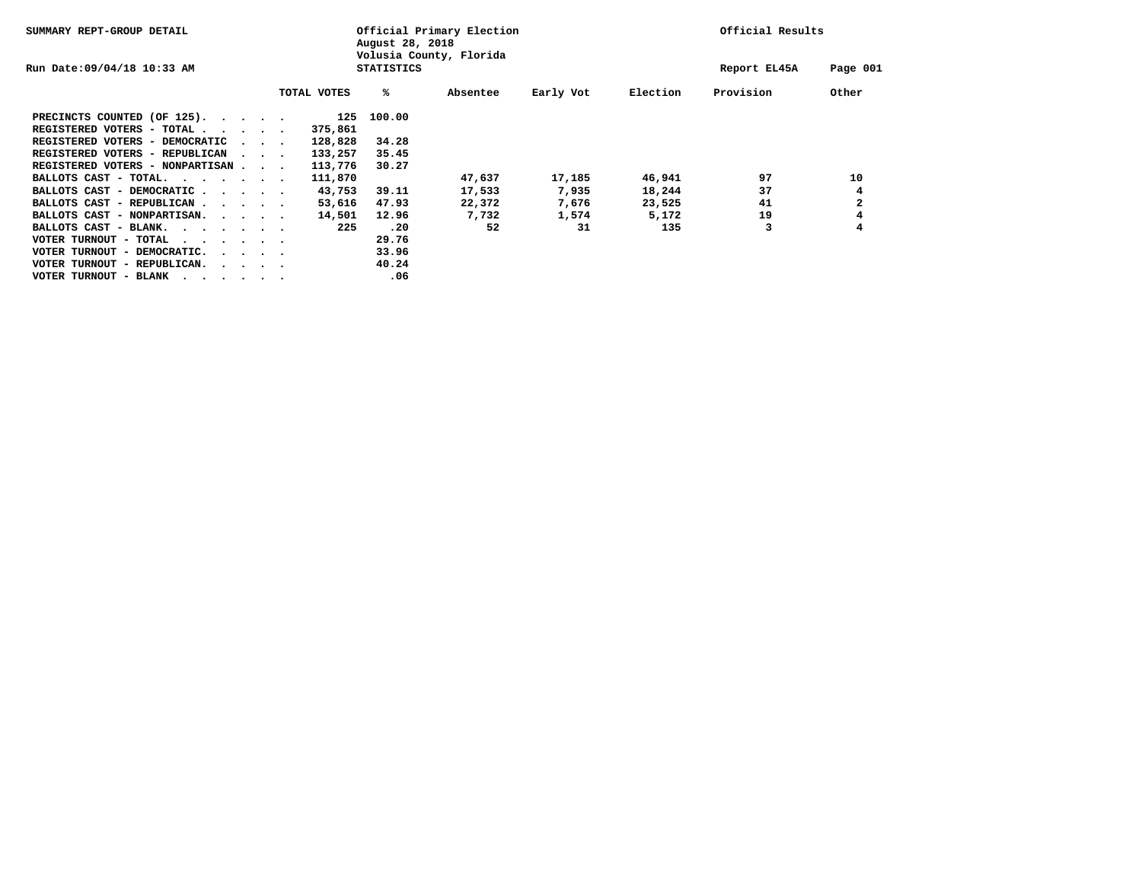| SUMMARY REPT-GROUP DETAIL                                         |                                 |  |  | August 28, 2018 | Official Primary Election<br>Volusia County, Florida | Official Results |           |          |              |              |
|-------------------------------------------------------------------|---------------------------------|--|--|-----------------|------------------------------------------------------|------------------|-----------|----------|--------------|--------------|
| Run Date: 09/04/18 10:33 AM                                       |                                 |  |  |                 | <b>STATISTICS</b>                                    |                  |           |          | Report EL45A | Page 001     |
|                                                                   |                                 |  |  | TOTAL VOTES     | ℁                                                    | Absentee         | Early Vot | Election | Provision    | Other        |
| PRECINCTS COUNTED (OF 125).                                       |                                 |  |  | 125             | 100.00                                               |                  |           |          |              |              |
| REGISTERED VOTERS - TOTAL $\cdot$ $\cdot$ $\cdot$ $\cdot$ $\cdot$ |                                 |  |  | 375,861         |                                                      |                  |           |          |              |              |
| REGISTERED VOTERS - DEMOCRATIC                                    | $\sim$ $\sim$ $\sim$            |  |  | 128,828         | 34.28                                                |                  |           |          |              |              |
| REGISTERED VOTERS - REPUBLICAN                                    | $\sim$ $\sim$ $\sim$            |  |  | 133,257         | 35.45                                                |                  |           |          |              |              |
| REGISTERED VOTERS - NONPARTISAN                                   |                                 |  |  | 113,776         | 30.27                                                |                  |           |          |              |              |
| BALLOTS CAST - TOTAL.                                             |                                 |  |  | 111,870         |                                                      | 47,637           | 17,185    | 46,941   | 97           | 10           |
| BALLOTS CAST - DEMOCRATIC                                         |                                 |  |  | 43,753          | 39.11                                                | 17,533           | 7,935     | 18,244   | 37           | 4            |
| BALLOTS CAST - REPUBLICAN<br>$\sim$ $\sim$ $\sim$ $\sim$          |                                 |  |  | 53,616          | 47.93                                                | 22,372           | 7,676     | 23,525   | 41           | $\mathbf{2}$ |
| BALLOTS CAST - NONPARTISAN.                                       |                                 |  |  | 14,501          | 12.96                                                | 7,732            | 1,574     | 5,172    | 19           | 4            |
| BALLOTS CAST - BLANK.<br>.                                        |                                 |  |  | 225             | .20                                                  | 52               | 31        | 135      | 3            | 4            |
| VOTER TURNOUT - TOTAL<br>$\cdots$                                 |                                 |  |  |                 | 29.76                                                |                  |           |          |              |              |
| VOTER TURNOUT - DEMOCRATIC.                                       | $\cdot$ $\cdot$ $\cdot$ $\cdot$ |  |  |                 | 33.96                                                |                  |           |          |              |              |
| VOTER TURNOUT - REPUBLICAN.<br>$\cdot$ $\cdot$ $\cdot$ $\cdot$    |                                 |  |  |                 | 40.24                                                |                  |           |          |              |              |
| VOTER TURNOUT - BLANK<br>$\cdot$                                  |                                 |  |  |                 | .06                                                  |                  |           |          |              |              |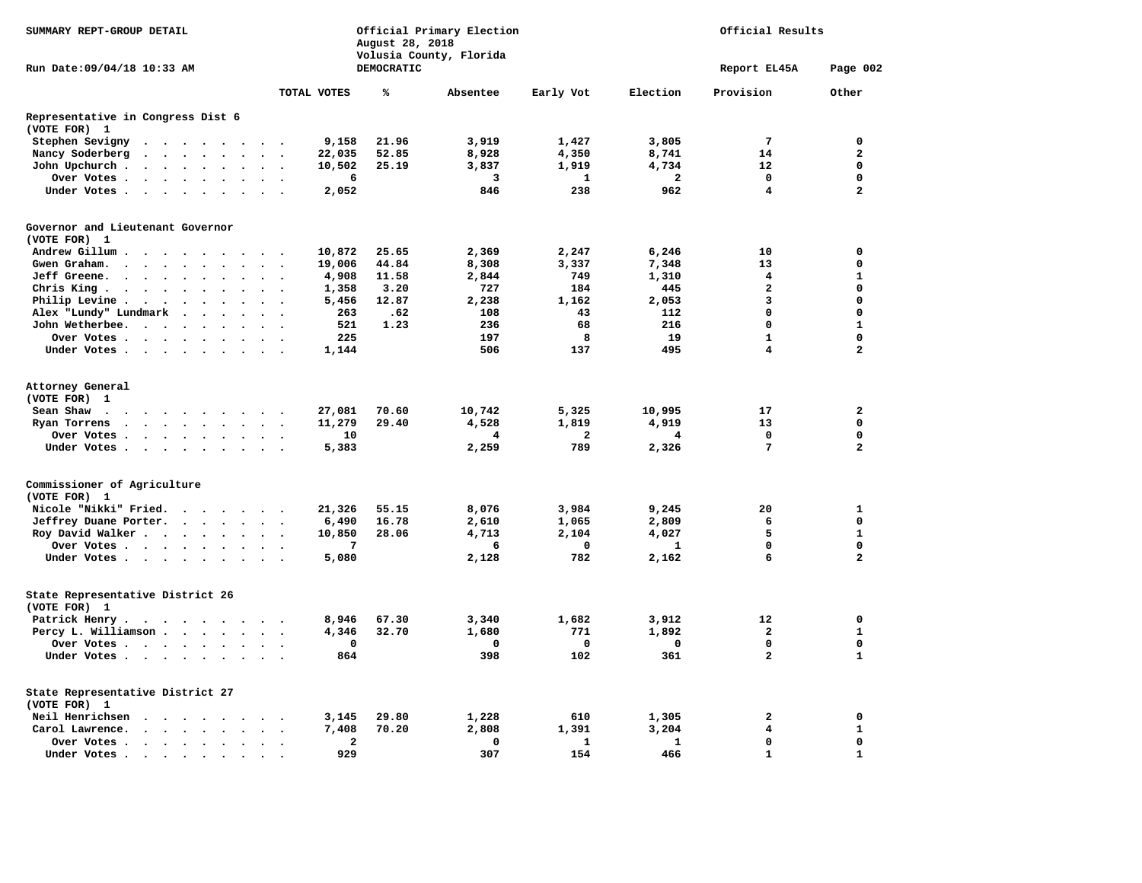| SUMMARY REPT-GROUP DETAIL                                                                                                   |                                                           |              | August 28, 2018   | Official Primary Election<br>Volusia County, Florida | Official Results |                         |                         |                         |
|-----------------------------------------------------------------------------------------------------------------------------|-----------------------------------------------------------|--------------|-------------------|------------------------------------------------------|------------------|-------------------------|-------------------------|-------------------------|
| Run Date:09/04/18 10:33 AM                                                                                                  |                                                           |              | <b>DEMOCRATIC</b> |                                                      |                  |                         | Report EL45A            | Page 002                |
|                                                                                                                             |                                                           | TOTAL VOTES  | ℁                 | Absentee                                             | Early Vot        | Election                | Provision               | Other                   |
| Representative in Congress Dist 6<br>(VOTE FOR) 1                                                                           |                                                           |              |                   |                                                      |                  |                         |                         |                         |
| Stephen Sevigny<br>$\ddot{\phantom{a}}$<br>$\cdot$                                                                          |                                                           | 9,158        | 21.96             | 3,919                                                | 1,427            | 3,805                   | 7                       | $\mathbf 0$             |
| Nancy Soderberg<br>$\bullet$<br>$\ddot{\phantom{0}}$<br>$\ddot{\phantom{0}}$                                                | $\bullet$                                                 | 22,035       | 52.85             | 8,928                                                | 4,350            | 8,741                   | 14                      | $\overline{\mathbf{2}}$ |
| John Upchurch.<br>$\ddot{\phantom{a}}$<br>$\ddot{\phantom{a}}$<br>$\ddot{\phantom{a}}$<br>$\ddot{\phantom{a}}$<br>$\bullet$ | $\ddot{\phantom{a}}$<br>$\ddot{\phantom{a}}$              | 10,502       | 25.19             | 3,837                                                | 1,919            | 4,734                   | 12                      | $\mathbf 0$             |
| Over Votes .<br>$\sim$ $\sim$<br>$\bullet$<br>$\sim$<br>$\bullet$                                                           |                                                           | 6            |                   | 3                                                    | 1                | $\overline{\mathbf{2}}$ | $\mathbf 0$             | $\mathbf 0$             |
| Under Votes<br>$\ddot{\phantom{a}}$                                                                                         | $\overline{\phantom{a}}$                                  | 2,052        |                   | 846                                                  | 238              | 962                     | $\overline{\mathbf{4}}$ | $\overline{a}$          |
| Governor and Lieutenant Governor                                                                                            |                                                           |              |                   |                                                      |                  |                         |                         |                         |
| (VOTE FOR) 1                                                                                                                |                                                           |              |                   |                                                      |                  |                         |                         |                         |
| Andrew Gillum.<br>$\bullet$<br>$\sim$<br>$\sim$<br>$\cdot$                                                                  |                                                           | 10,872       | 25.65             | 2,369                                                | 2,247            | 6,246                   | 10                      | $\mathbf 0$             |
| Gwen Graham.<br>$\mathbf{z} = \mathbf{z} + \mathbf{z}$ .<br>$\ddot{\phantom{0}}$<br>$\bullet$<br>$\bullet$                  | $\bullet$                                                 | 19,006       | 44.84             | 8,308                                                | 3,337            | 7,348                   | 13                      | $\mathbf 0$             |
| Jeff Greene.<br>$\sim$<br>$\ddot{\phantom{0}}$<br>$\ddot{\phantom{a}}$<br>$\bullet$                                         |                                                           | 4,908        | 11.58             | 2,844                                                | 749              | 1,310                   | 4                       | $\mathbf{1}$            |
| Chris King.<br>$\sim$ $\sim$<br>$\ddot{\phantom{a}}$<br>$\bullet$<br>$\bullet$                                              | $\overline{\phantom{a}}$                                  | 1,358        | 3.20              | 727                                                  | 184              | 445                     | $\overline{a}$          | $\mathbf 0$             |
| Philip Levine .<br>$\ddot{\phantom{1}}$<br>$\bullet$<br>$\bullet$                                                           |                                                           | 5,456        | 12.87             | 2,238                                                | 1,162            | 2,053                   | 3                       | $\mathbf 0$             |
| Alex "Lundy" Lundmark<br>$\ddot{\phantom{a}}$<br>$\ddot{\phantom{a}}$<br>$\ddot{\phantom{1}}$                               | $\ddot{\phantom{a}}$                                      | 263          | .62               | 108                                                  | 43               | 112                     | 0                       | $\mathbf 0$             |
| John Wetherbee.<br>$\cdot$ .<br>$\bullet$<br>$\bullet$                                                                      |                                                           | 521          | 1.23              | 236                                                  | 68               | 216                     | 0                       | 1                       |
| Over Votes<br>$\sim$ $\sim$<br>$\bullet$                                                                                    | $\bullet$                                                 | 225          |                   | 197                                                  | 8                | 19                      | $\mathbf{1}$            | $\mathbf 0$             |
| Under Votes<br>$\bullet$                                                                                                    |                                                           | 1,144        |                   | 506                                                  | 137              | 495                     | 4                       | $\mathbf{2}$            |
| Attorney General<br>(VOTE FOR) 1                                                                                            |                                                           |              |                   |                                                      |                  |                         |                         |                         |
| Sean Shaw.<br>$\cdot$<br>$\cdot$<br>$\sim$<br>$\bullet$<br>$\cdot$<br>$\blacksquare$ .                                      | $\cdot$                                                   | 27,081       | 70.60             | 10,742                                               | 5,325            | 10,995                  | 17                      | $\mathbf{2}$            |
| Ryan Torrens<br>$\ddot{\phantom{a}}$<br>$\bullet$<br>$\ddot{\phantom{a}}$<br>$\ddot{\phantom{a}}$<br>$\bullet$<br>$\bullet$ | $\ddot{\phantom{a}}$<br>$\bullet$<br>$\cdot$              | 11,279       | 29.40             | 4,528                                                | 1,819            | 4,919                   | 13                      | $\mathbf 0$             |
| Over Votes .<br>$\cdot$ $\cdot$ $\cdot$ $\cdot$ $\cdot$<br>$\ddot{\phantom{1}}$                                             | $\ddot{\phantom{a}}$                                      | 10           |                   | 4                                                    | $\mathbf{2}$     | 4                       | 0                       | $\mathbf 0$             |
| Under Votes<br>$\sim$<br>$\bullet$<br>$\sim$                                                                                | $\overline{\phantom{a}}$                                  | 5,383        |                   | 2,259                                                | 789              | 2,326                   | 7                       | $\overline{a}$          |
| Commissioner of Agriculture<br>(VOTE FOR) 1                                                                                 |                                                           |              |                   |                                                      |                  |                         |                         |                         |
| Nicole "Nikki" Fried.<br>$\cdots$                                                                                           | $\sim$ $\sim$<br>$\sim$                                   | 21,326       | 55.15             | 8,076                                                | 3,984            | 9,245                   | 20                      | 1                       |
| Jeffrey Duane Porter.<br>$\sim$ $\sim$ $\sim$ $\sim$                                                                        | $\ddot{\phantom{a}}$<br>$\bullet$<br>$\ddot{\phantom{0}}$ | 6,490        | 16.78             | 2,610                                                | 1,065            | 2,809                   | 6                       | $\mathbf 0$             |
| Roy David Walker                                                                                                            | $\ddot{\phantom{1}}$<br>$\sim$                            | 10,850       | 28.06             | 4,713                                                | 2,104            | 4,027                   | 5                       | 1                       |
| Over Votes                                                                                                                  |                                                           | 7            |                   | 6                                                    | 0                | 1                       | 0                       | $\mathbf 0$             |
| Under Votes                                                                                                                 | $\ddot{\phantom{0}}$<br>$\sim$                            | 5,080        |                   | 2,128                                                | 782              | 2,162                   | 6                       | $\overline{\mathbf{2}}$ |
| State Representative District 26<br>(VOTE FOR) 1                                                                            |                                                           |              |                   |                                                      |                  |                         |                         |                         |
| Patrick Henry                                                                                                               | $\sim$ $\sim$                                             | 8,946        | 67.30             | 3,340                                                | 1,682            | 3,912                   | 12                      | 0                       |
| Percy L. Williamson                                                                                                         | $\sim$<br>$\sim$<br>$\ddot{\phantom{a}}$                  | 4,346        | 32.70             | 1,680                                                | 771              | 1,892                   | $\mathbf{2}$            | 1                       |
| Over Votes<br>$\cdot$                                                                                                       |                                                           | 0            |                   | 0                                                    | $\mathbf 0$      | 0                       | $\mathbf 0$             | $\mathbf 0$             |
| Under Votes                                                                                                                 | $\ddot{\phantom{a}}$                                      | 864          |                   | 398                                                  | 102              | 361                     | $\overline{a}$          | $\mathbf{1}$            |
| State Representative District 27                                                                                            |                                                           |              |                   |                                                      |                  |                         |                         |                         |
| (VOTE FOR) 1                                                                                                                |                                                           |              |                   |                                                      |                  |                         |                         |                         |
| Neil Henrichsen<br>$\overline{\phantom{a}}$<br>$\overline{\phantom{a}}$<br>$\sim$<br>$\ddot{\phantom{1}}$                   |                                                           | 3,145        | 29.80             | 1,228                                                | 610              | 1,305                   | $\mathbf{2}$            | 0                       |
| Carol Lawrence.<br>$\sim$ $\sim$<br>$\sim$ $\sim$<br>$\ddot{\phantom{a}}$                                                   |                                                           | 7,408        | 70.20             | 2,808                                                | 1,391            | 3,204                   | $\overline{\mathbf{4}}$ | $\mathbf{1}$            |
| Over Votes .<br>$\sim$ $\sim$<br>$\sim$<br>$\sim$<br>$\cdot$                                                                | $\overline{\phantom{a}}$                                  | $\mathbf{2}$ |                   | 0                                                    | 1                | 1                       | $\mathbf 0$             | $\mathbf 0$             |
| Under Votes.<br>$\sim$ $\sim$<br>$\sim$ $\sim$ $\sim$ $\sim$                                                                | $\sim$                                                    | 929          |                   | 307                                                  | 154              | 466                     | $\mathbf{1}$            | ${\bf 1}$               |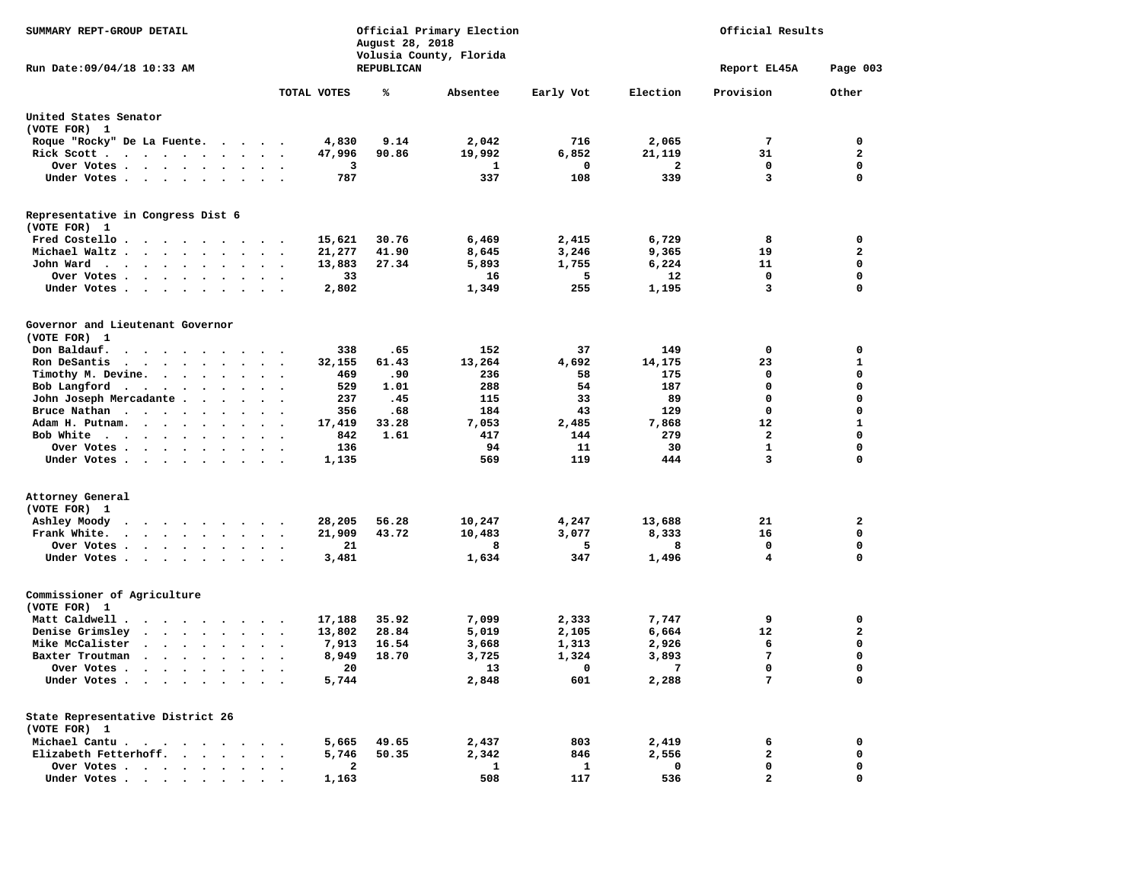| SUMMARY REPT-GROUP DETAIL                                                                                                                                                                                                                     |                                                        | August 28, 2018 | Official Primary Election | Official Results |           |                   |              |
|-----------------------------------------------------------------------------------------------------------------------------------------------------------------------------------------------------------------------------------------------|--------------------------------------------------------|-----------------|---------------------------|------------------|-----------|-------------------|--------------|
| Run Date: 09/04/18 10:33 AM                                                                                                                                                                                                                   |                                                        | REPUBLICAN      | Volusia County, Florida   |                  |           | Report EL45A      | Page 003     |
|                                                                                                                                                                                                                                               | TOTAL VOTES                                            | ℁               | Absentee                  | Early Vot        | Election  | Provision         | Other        |
| United States Senator                                                                                                                                                                                                                         |                                                        |                 |                           |                  |           |                   |              |
| (VOTE FOR) 1                                                                                                                                                                                                                                  |                                                        |                 |                           |                  |           |                   |              |
| Roque "Rocky" De La Fuente.                                                                                                                                                                                                                   | 4,830                                                  | 9.14            | 2,042                     | 716              | 2,065     | 7                 | 0            |
| Rick Scott                                                                                                                                                                                                                                    | 47,996<br>$\ddot{\phantom{0}}$<br>$\ddot{\phantom{a}}$ | 90.86           | 19,992                    | 6,852            | 21,119    | 31                | $\mathbf{z}$ |
| Over Votes<br>$\sim$ $\sim$<br>$\bullet$                                                                                                                                                                                                      | $\bullet$                                              | з               | 1                         | 0                | 2         | 0                 | 0            |
| Under Votes                                                                                                                                                                                                                                   | 787<br>$\bullet$                                       |                 | 337                       | 108              | 339       | 3                 | $\mathbf 0$  |
| Representative in Congress Dist 6<br>(VOTE FOR) 1                                                                                                                                                                                             |                                                        |                 |                           |                  |           |                   |              |
| Fred Costello.<br>$\bullet$<br>$\bullet$<br>$\cdot$<br>$\cdot$<br>$\bullet$                                                                                                                                                                   | 15,621                                                 | 30.76           | 6,469                     | 2,415            | 6,729     | 8                 | 0            |
| Michael Waltz<br>$\ddot{\phantom{a}}$<br>$\ddot{\phantom{1}}$                                                                                                                                                                                 | 21,277<br>$\bullet$                                    | 41.90           | 8,645                     | 3,246            | 9,365     | 19                | $\mathbf{2}$ |
| John Ward<br>$\bullet$                                                                                                                                                                                                                        | 13,883                                                 | 27.34           | 5,893                     | 1,755            | 6,224     | 11                | $\mathbf 0$  |
| Over Votes.<br>$\cdot$ $\cdot$ $\cdot$ $\cdot$<br>$\sim$ $\sim$                                                                                                                                                                               |                                                        | 33              | 16                        | 5                | 12        | 0                 | $\mathbf 0$  |
| Under Votes<br>$\sim$ $\sim$<br>$\ddot{\phantom{1}}$                                                                                                                                                                                          | 2,802<br>$\cdot$                                       |                 | 1,349                     | 255              | 1,195     | 3                 | $\mathbf 0$  |
| Governor and Lieutenant Governor<br>(VOTE FOR) 1                                                                                                                                                                                              |                                                        |                 |                           |                  |           |                   |              |
| Don Baldauf.<br>$\cdot$ $\cdot$ $\cdot$                                                                                                                                                                                                       | 338                                                    | .65             | 152                       | 37               | 149       | 0                 | 0            |
| Ron DeSantis<br>$\cdots$<br>$\ddot{\phantom{a}}$                                                                                                                                                                                              | 32,155                                                 | 61.43           | 13,264                    | 4,692            | 14,175    | 23                | 1            |
| Timothy M. Devine.<br>$\bullet$                                                                                                                                                                                                               | 469<br>$\bullet$<br>$\ddot{\phantom{0}}$               | .90             | 236                       | 58               | 175       | $\mathbf 0$       | $\mathbf 0$  |
| Bob Langford<br>$\sim$ $-$<br>$\bullet$<br>$\bullet$<br>$\bullet$                                                                                                                                                                             | 529                                                    | 1.01            | 288                       | 54               | 187       | 0                 | 0            |
| John Joseph Mercadante .<br>$\sim$ $\sim$<br>$\bullet$<br>$\ddot{\phantom{1}}$                                                                                                                                                                | 237<br>$\cdot$                                         | .45             | 115                       | 33               | 89        | 0                 | 0            |
| Bruce Nathan<br>$\ddot{\phantom{0}}$                                                                                                                                                                                                          | 356                                                    | .68             | 184                       | 43               | 129       | $\mathbf 0$       | 0            |
| Adam H. Putnam.<br>$\sim$ $\sim$ $\sim$ $\sim$<br>$\bullet$                                                                                                                                                                                   | 17,419                                                 | 33.28           | 7,053                     | 2,485            | 7,868     | 12                | 1            |
| Bob White<br>$\sim$ $\sim$ $\sim$ $\sim$ $\sim$<br>$\bullet$<br>$\bullet$<br>$\cdot$                                                                                                                                                          | 842<br>$\bullet$<br>$\bullet$                          | 1.61            | 417                       | 144              | 279       | $\overline{a}$    | $\mathbf 0$  |
| Over Votes.<br>$\bullet$<br>Under Votes<br>$\cdot$                                                                                                                                                                                            | 136<br>1,135<br>$\bullet$ .                            |                 | 94<br>569                 | 11<br>119        | 30<br>444 | $\mathbf{1}$<br>3 | 0<br>0       |
| Attorney General                                                                                                                                                                                                                              |                                                        |                 |                           |                  |           |                   |              |
| (VOTE FOR) 1                                                                                                                                                                                                                                  |                                                        |                 |                           |                  |           |                   |              |
| Ashley Moody<br>$\bullet$ .<br><br><br><br><br><br><br>$\begin{array}{cccccccccccccc} \bullet & \bullet & \bullet & \bullet & \bullet & \bullet & \bullet & \bullet & \bullet & \bullet \end{array}$                                          | 28,205                                                 | 56.28           | 10,247                    | 4,247            | 13,688    | 21                | $\mathbf{2}$ |
| Frank White.<br>$\cdot$ $\cdot$ $\cdot$ $\cdot$ $\cdot$<br>$\ddot{\phantom{a}}$<br>$\sim$                                                                                                                                                     | 21,909<br>$\ddot{\phantom{0}}$                         | 43.72           | 10,483                    | 3,077            | 8,333     | 16                | 0            |
| Over Votes                                                                                                                                                                                                                                    | $\bullet$ .                                            | 21              | 8                         | 5                | 8         | 0                 | $\mathbf 0$  |
| Under Votes.                                                                                                                                                                                                                                  | 3,481                                                  |                 | 1,634                     | 347              | 1,496     | 4                 | 0            |
| Commissioner of Agriculture<br>(VOTE FOR) 1                                                                                                                                                                                                   |                                                        |                 |                           |                  |           |                   |              |
| Matt Caldwell .<br>$\overline{\phantom{a}}$<br>$\cdots$<br>$\overline{\phantom{a}}$                                                                                                                                                           | 17,188                                                 | 35.92           | 7,099                     | 2,333            | 7,747     | 9                 | 0            |
| Denise Grimslev<br>$\cdot$ $\cdot$ $\cdot$ $\cdot$ $\cdot$ $\cdot$                                                                                                                                                                            | 13,802                                                 | 28.84           | 5,019                     | 2,105            | 6,664     | 12                | 2            |
| Mike McCalister<br>$\bullet$ .<br>$\ddot{\phantom{0}}$<br>$\bullet$<br>$\bullet$<br>$\bullet$                                                                                                                                                 | 7,913                                                  | 16.54           | 3,668                     | 1,313            | 2,926     | 6                 | 0            |
| Baxter Troutman<br>$\sim$ $\sim$<br>$\bullet$ .<br>$\bullet$<br>$\bullet$<br>$\bullet$                                                                                                                                                        | 8,949<br>$\bullet$                                     | 18.70           | 3,725                     | 1,324            | 3,893     | 7                 | 0            |
| Over Votes .<br>. The contract of the contract of the contract of the contract of the contract of the contract of the contract of the contract of the contract of the contract of the contract of the contract of the contract of the contrac |                                                        | 20              | 13                        | 0                | 7         | $\mathbf 0$       | $\Omega$     |
| Under Votes                                                                                                                                                                                                                                   | 5,744                                                  |                 | 2,848                     | 601              | 2,288     | 7                 | 0            |
| State Representative District 26<br>(VOTE FOR) 1                                                                                                                                                                                              |                                                        |                 |                           |                  |           |                   |              |
| Michael Cantu.<br>$\bullet$                                                                                                                                                                                                                   | 5,665                                                  | 49.65           | 2,437                     | 803              | 2,419     | 6                 | 0            |
| Elizabeth Fetterhoff.<br>$\mathbf{a}$ , $\mathbf{a}$ , $\mathbf{a}$ , $\mathbf{a}$ ,<br>$\ddot{\phantom{a}}$                                                                                                                                  | 5,746<br>$\bullet$                                     | 50.35           | 2,342                     | 846              | 2,556     | 2                 | 0            |
| Over Votes<br>$\ddot{\phantom{a}}$                                                                                                                                                                                                            |                                                        | 2               | 1                         | 1                | 0         | 0                 | 0            |
| Under Votes                                                                                                                                                                                                                                   | 1,163                                                  |                 | 508                       | 117              | 536       | $\overline{a}$    | 0            |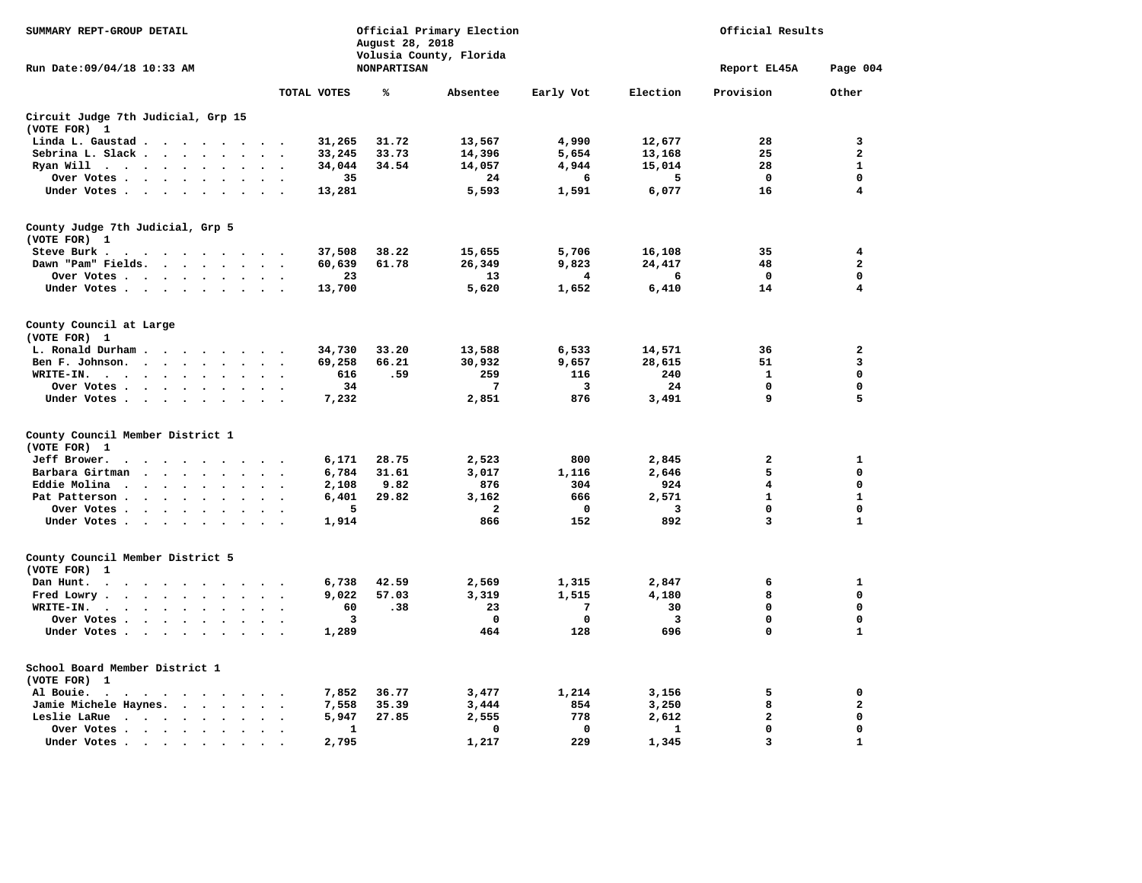| SUMMARY REPT-GROUP DETAIL                                                                                                                                                                                          |                                              |                | August 28, 2018    | Official Primary Election | Official Results |                |                         |                         |
|--------------------------------------------------------------------------------------------------------------------------------------------------------------------------------------------------------------------|----------------------------------------------|----------------|--------------------|---------------------------|------------------|----------------|-------------------------|-------------------------|
| Run Date: 09/04/18 10:33 AM                                                                                                                                                                                        |                                              |                | <b>NONPARTISAN</b> | Volusia County, Florida   |                  |                | Report EL45A            | Page 004                |
|                                                                                                                                                                                                                    |                                              | TOTAL VOTES    | ℁                  | Absentee                  | Early Vot        | Election       | Provision               | Other                   |
| Circuit Judge 7th Judicial, Grp 15<br>(VOTE FOR) 1                                                                                                                                                                 |                                              |                |                    |                           |                  |                |                         |                         |
| Linda L. Gaustad                                                                                                                                                                                                   |                                              | 31,265         | 31.72              | 13,567                    | 4,990            | 12,677         | 28                      | 3                       |
| Sebrina L. Slack.<br>$\cdot$ $\cdot$ $\cdot$ $\cdot$ $\cdot$                                                                                                                                                       | $\ddot{\phantom{a}}$<br>$\ddot{\phantom{0}}$ | 33,245         | 33.73              | 14,396                    | 5,654            | 13,168         | 25                      | $\overline{\mathbf{2}}$ |
| Ryan Will<br>$\cdots$<br>$\ddot{\phantom{a}}$<br>$\cdot$<br>$\ddot{\phantom{a}}$                                                                                                                                   | $\bullet$                                    | 34,044         | 34.54              | 14,057                    | 4,944            | 15,014         | 28                      | $\mathbf{1}$            |
| Over Votes.<br>$\ddot{\phantom{a}}$<br>$\ddot{\phantom{a}}$<br>$\ddot{\phantom{0}}$                                                                                                                                |                                              | 35             |                    | 24                        | 6                | 5              | 0                       | $\mathbf 0$             |
| Under Votes                                                                                                                                                                                                        | $\sim$                                       | 13,281         |                    | 5,593                     | 1,591            | 6,077          | 16                      | 4                       |
| County Judge 7th Judicial, Grp 5<br>(VOTE FOR) 1                                                                                                                                                                   |                                              |                |                    |                           |                  |                |                         |                         |
| Steve Burk .                                                                                                                                                                                                       |                                              | 37,508         | 38.22              | 15,655                    | 5,706            | 16,108         | 35                      | 4                       |
| Dawn "Pam" Fields.                                                                                                                                                                                                 |                                              | 60,639         | 61.78              | 26,349                    | 9,823            | 24,417         | 48                      | $\mathbf{2}$            |
| Over Votes                                                                                                                                                                                                         | $\bullet$                                    | 23             |                    | 13                        | 4                | 6              | 0                       | $\mathbf 0$             |
| Under Votes                                                                                                                                                                                                        |                                              | 13,700         |                    | 5,620                     | 1,652            | 6,410          | 14                      | 4                       |
| County Council at Large<br>(VOTE FOR) 1                                                                                                                                                                            |                                              |                |                    |                           |                  |                |                         |                         |
| L. Ronald Durham<br>$\sim$<br><u>in a la se</u><br>$\sim$                                                                                                                                                          |                                              | 34,730         | 33.20              | 13,588                    | 6,533            | 14,571         | 36                      | $\mathbf{2}$            |
| Ben F. Johnson.<br>$\ddot{\phantom{a}}$<br>$\mathbf{r}$<br>$\overline{\phantom{a}}$                                                                                                                                |                                              | 69,258         | 66.21              | 30,932                    | 9,657            | 28,615         | 51                      | 3                       |
| WRITE-IN.<br>$\mathbf{z} = \mathbf{z} + \mathbf{z}$ .<br>$\bullet$<br>$\bullet$<br>$\ddot{\phantom{a}}$                                                                                                            | $\bullet$                                    | 616            | .59                | 259                       | 116              | 240            | $\mathbf{1}$            | $\mathbf 0$             |
| Over Votes.<br>$\ddot{\phantom{a}}$<br>$\mathbf{z} = \mathbf{z}$ .<br>$\ddot{\phantom{a}}$<br>$\bullet$<br>$\ddot{\phantom{a}}$                                                                                    | $\cdot$                                      | 34             |                    | 7                         | 3                | 24             | 0                       | 0                       |
| Under Votes<br>$\ddot{\phantom{0}}$<br>$\ddot{\phantom{a}}$<br>$\ddot{\phantom{1}}$                                                                                                                                |                                              | 7,232          |                    | 2,851                     | 876              | 3,491          | 9                       | 5                       |
| County Council Member District 1                                                                                                                                                                                   |                                              |                |                    |                           |                  |                |                         |                         |
| (VOTE FOR) 1<br>Jeff Brower.<br>$\cdot$<br>$\cdot$<br>$\sim$<br>$\sim$<br>$\sim$ $\sim$<br>$\sim$                                                                                                                  | $\sim$                                       | 6,171          | 28.75              | 2,523                     | 800              | 2,845          | $\overline{a}$          | $\mathbf{1}$            |
| Barbara Girtman<br>$\ddot{\phantom{1}}$<br>$\ddot{\phantom{1}}$<br>$\ddot{\phantom{1}}$<br>$\ddot{\phantom{1}}$<br>$\bullet$<br>$\bullet$                                                                          | $\cdot$<br>$\bullet$                         | 6,784          | 31.61              | 3,017                     | 1,116            | 2,646          | 5                       | $\mathbf 0$             |
| Eddie Molina<br>$\ddot{\phantom{1}}$<br>$\sim$<br>$\overline{\phantom{a}}$<br>$\ddot{\phantom{a}}$                                                                                                                 | $\ddot{\phantom{a}}$                         | 2,108          | 9.82               | 876                       | 304              | 924            | $\overline{\mathbf{4}}$ | $\mathbf 0$             |
| Pat Patterson.<br>$\ddot{\phantom{a}}$<br>$\ddot{\phantom{a}}$<br>$\overline{\phantom{a}}$                                                                                                                         |                                              | 6,401          | 29.82              | 3,162                     | 666              | 2,571          | $\mathbf{1}$            | $\mathbf{1}$            |
| Over Votes.<br>$\cdot$                                                                                                                                                                                             | $\cdot$                                      | 5              |                    | $\mathbf{2}$              | 0                | 3              | 0                       | $\mathbf 0$             |
| Under Votes<br>$\sim$<br>$\bullet$<br>$\sim$                                                                                                                                                                       | $\sim$<br>$\cdot$                            | 1,914          |                    | 866                       | 152              | 892            | 3                       | $\mathbf{1}$            |
| County Council Member District 5                                                                                                                                                                                   |                                              |                |                    |                           |                  |                |                         |                         |
| (VOTE FOR) 1                                                                                                                                                                                                       |                                              |                | 42.59              |                           |                  |                | 6                       | 1                       |
| Dan Hunt.<br>$\bullet$<br>$\bullet$<br>$\cdot$<br>$\cdot$<br>$\sim$<br>$\cdot$<br>$\sim$<br>$\sim$<br>Fred Lowry.                                                                                                  |                                              | 6,738<br>9,022 | 57.03              | 2,569<br>3,319            | 1,315<br>1,515   | 2,847<br>4,180 | 8                       | $\mathbf 0$             |
| $\ddotsc$<br>$\bullet$<br>$\bullet$ .<br>$\bullet$<br>$\bullet$<br>WRITE-IN. .<br>$\ddot{\phantom{0}}$<br>$\ddot{\phantom{0}}$<br>$\sim$<br>$\ddot{\phantom{0}}$<br>$\bullet$<br>$\bullet$<br>$\ddot{\phantom{a}}$ | $\bullet$<br>$\bullet$                       | 60             | .38                | 23                        | 7                | 30             | $\mathbf 0$             | $\mathbf 0$             |
| Over Votes .<br>$\ddot{\phantom{0}}$<br>$\bullet$<br>$\ddot{\phantom{a}}$                                                                                                                                          | $\ddot{\phantom{a}}$                         | 3              |                    | $\mathbf 0$               | 0                | 3              | $\mathbf 0$             | $\mathbf 0$             |
| Under Votes.<br>$\ddot{\phantom{0}}$<br>$\ddot{\phantom{0}}$                                                                                                                                                       |                                              | 1,289          |                    | 464                       | 128              | 696            | $\mathbf 0$             | ${\bf 1}$               |
| $\bullet$<br>$\bullet$                                                                                                                                                                                             |                                              |                |                    |                           |                  |                |                         |                         |
| School Board Member District 1<br>(VOTE FOR) 1                                                                                                                                                                     |                                              |                |                    |                           |                  |                |                         |                         |
| Al Bouie.<br>$\ddot{\phantom{0}}$<br>$\mathcal{A}=\mathcal{A}=\mathcal{A}=\mathcal{A}=\mathcal{A}=\mathcal{A}=\mathcal{A}=\mathcal{A}$                                                                             | $\bullet$<br>$\bullet$                       | 7,852          | 36.77              | 3,477                     | 1,214            | 3,156          | 5                       | 0                       |
| Jamie Michele Haynes.<br>$\cdot$ $\cdot$ $\cdot$ $\cdot$                                                                                                                                                           | $\bullet$<br>$\bullet$                       | 7,558          | 35.39              | 3,444                     | 854              | 3,250          | 8                       | $\mathbf{2}$            |
| Leslie LaRue<br>$\sim$ $\sim$ $\sim$ $\sim$<br>$\ddot{\phantom{a}}$<br>$\ddot{\phantom{a}}$<br>$\sim$                                                                                                              | $\ddot{\phantom{a}}$                         | 5,947          | 27.85              | 2,555                     | 778              | 2,612          | $\overline{a}$          | $\mathbf 0$             |
| Over Votes .<br>$\sim$ $\sim$ $\sim$ $\sim$ $\sim$<br>$\bullet$<br>$\bullet$<br>$\bullet$                                                                                                                          | $\bullet$                                    | 1              |                    | 0                         | 0                | 1              | $\mathbf{0}$            | $\mathbf 0$             |
| Under Votes.<br>$\sim$ $\sim$<br>$\bullet$                                                                                                                                                                         |                                              | 2,795          |                    | 1,217                     | 229              | 1,345          | $\overline{\mathbf{3}}$ | $\mathbf{1}$            |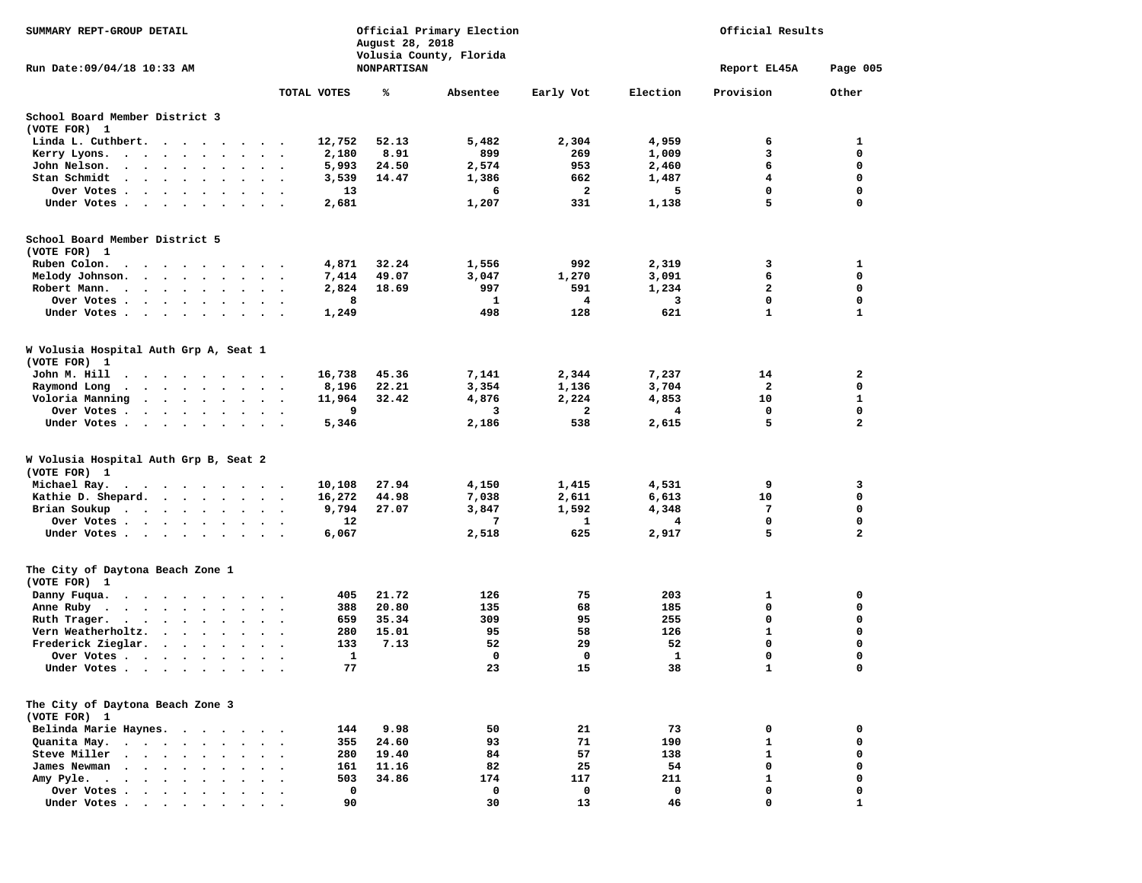| SUMMARY REPT-GROUP DETAIL                                                                                                                                               |                             | August 28, 2018    | Official Primary Election<br>Volusia County, Florida | Official Results |              |              |                  |
|-------------------------------------------------------------------------------------------------------------------------------------------------------------------------|-----------------------------|--------------------|------------------------------------------------------|------------------|--------------|--------------|------------------|
| Run Date: 09/04/18 10:33 AM                                                                                                                                             |                             | <b>NONPARTISAN</b> |                                                      |                  |              | Report EL45A | Page 005         |
|                                                                                                                                                                         | TOTAL VOTES                 | ℁                  | Absentee                                             | Early Vot        | Election     | Provision    | Other            |
| School Board Member District 3                                                                                                                                          |                             |                    |                                                      |                  |              |              |                  |
| (VOTE FOR) 1                                                                                                                                                            |                             |                    |                                                      |                  |              |              |                  |
| Linda L. Cuthbert.                                                                                                                                                      | 12,752                      | 52.13              | 5,482                                                | 2,304            | 4,959        | 6            | 1                |
| Kerry Lyons.<br>$\cdot$ $\cdot$ $\cdot$ $\cdot$                                                                                                                         | 2,180<br>$\cdot$            | 8.91               | 899                                                  | 269              | 1,009        | 3            | 0                |
| John Nelson.<br>$\begin{array}{cccccccccccccc} \bullet & \bullet & \bullet & \bullet & \bullet & \bullet & \bullet & \bullet & \bullet & \bullet & \bullet \end{array}$ | 5,993<br>$\sim$<br>$\cdot$  | 24.50              | 2,574                                                | 953              | 2,460        | 6            | $\mathbf 0$      |
| Stan Schmidt<br>$\cdots$                                                                                                                                                | 3,539<br>$\sim$             | 14.47              | 1,386                                                | 662              | 1,487        | 4            | 0                |
| Over Votes                                                                                                                                                              | 13                          |                    | 6                                                    | $\mathbf{2}$     | 5            | 0            | $\mathbf 0$      |
| Under Votes                                                                                                                                                             | 2,681                       |                    | 1,207                                                | 331              | 1,138        | 5            | 0                |
| School Board Member District 5                                                                                                                                          |                             |                    |                                                      |                  |              |              |                  |
| (VOTE FOR) 1                                                                                                                                                            |                             |                    |                                                      |                  |              |              |                  |
| Ruben Colon.                                                                                                                                                            | 4,871                       | 32.24              | 1,556                                                | 992              | 2,319        | 3            | 1                |
| Melody Johnson.                                                                                                                                                         | 7,414                       | 49.07              | 3,047                                                | 1,270            | 3,091        | 6            | $\mathbf 0$<br>0 |
| Robert Mann.<br>$\cdot$                                                                                                                                                 | 2,824<br>$\bullet$ .<br>8   | 18.69              | 997<br>1                                             | 591<br>4         | 1,234<br>3   | 2<br>0       | $\mathbf 0$      |
| Over Votes<br>Under Votes                                                                                                                                               | 1,249                       |                    | 498                                                  | 128              | 621          | $\mathbf{1}$ | $\mathbf{1}$     |
|                                                                                                                                                                         |                             |                    |                                                      |                  |              |              |                  |
| W Volusia Hospital Auth Grp A, Seat 1<br>(VOTE FOR) 1                                                                                                                   |                             |                    |                                                      |                  |              |              |                  |
| John M. Hill                                                                                                                                                            | 16,738                      | 45.36              | 7,141                                                | 2,344            | 7,237        | 14           | $\mathbf{2}$     |
| Raymond Long<br>$\sim$<br>$\begin{array}{cccccccccccccc} \bullet & \bullet & \bullet & \bullet & \bullet & \bullet & \bullet & \bullet & \bullet & \bullet \end{array}$ | 8,196                       | 22.21              | 3,354                                                | 1,136            | 3,704        | 2            | 0                |
| Voloria Manning<br>$\cdots$                                                                                                                                             | 11,964                      | 32.42              | 4,876                                                | 2,224            | 4,853        | 10           | 1                |
| Over Votes                                                                                                                                                              | 9                           |                    | 3                                                    | $\overline{a}$   | 4            | $\mathbf 0$  | $\mathbf 0$      |
| Under Votes<br>$\bullet$                                                                                                                                                | 5,346                       |                    | 2,186                                                | 538              | 2,615        | 5            | $\mathbf{z}$     |
| W Volusia Hospital Auth Grp B, Seat 2<br>(VOTE FOR) 1                                                                                                                   |                             |                    |                                                      |                  |              |              |                  |
| Michael Ray.                                                                                                                                                            | 10,108                      | 27.94              | 4,150                                                | 1,415            | 4,531        | 9            | 3                |
| Kathie D. Shepard.<br>$\cdots$                                                                                                                                          | 16,272                      | 44.98              | 7,038                                                | 2,611            | 6,613        | 10           | 0                |
| Brian Soukup                                                                                                                                                            | 9,794                       | 27.07              | 3,847                                                | 1,592            | 4,348        | 7            | 0                |
| Over Votes                                                                                                                                                              | 12<br>$\bullet$             |                    | 7                                                    | 1                | 4            | $\mathbf 0$  | $\mathbf 0$      |
| Under Votes                                                                                                                                                             | 6,067                       |                    | 2,518                                                | 625              | 2,917        | 5            | 2                |
| The City of Daytona Beach Zone 1<br>(VOTE FOR) 1                                                                                                                        |                             |                    |                                                      |                  |              |              |                  |
| Danny Fuqua.                                                                                                                                                            | 405                         | 21.72              | 126                                                  | 75               | 203          | 1            | 0                |
| Anne Ruby.                                                                                                                                                              | 388<br>$\ddot{\phantom{1}}$ | 20.80              | 135                                                  | 68               | 185          | 0            | 0                |
| Ruth Trager.                                                                                                                                                            | 659<br>$\ddot{\phantom{1}}$ | 35.34              | 309                                                  | 95               | 255          | 0            | 0                |
| Vern Weatherholtz.<br>$\cdots$                                                                                                                                          | 280                         | 15.01              | 95                                                   | 58               | 126          | $\mathbf{1}$ | $\mathbf 0$      |
| Frederick Zieglar.<br>$\sim$ $\sim$ $\sim$<br>$\ddot{\phantom{0}}$<br>$\ddot{\phantom{a}}$<br>$\ddot{\phantom{1}}$                                                      | 133                         | 7.13               | 52                                                   | 29               | 52           | 0            | 0                |
| Over Votes<br>$\ddot{\phantom{1}}$                                                                                                                                      | 1                           |                    | 0                                                    | 0                | $\mathbf{1}$ | $\mathbf 0$  | 0                |
| Under Votes                                                                                                                                                             | 77                          |                    | 23                                                   | 15               | 38           | $\mathbf{1}$ | 0                |
| The City of Daytona Beach Zone 3<br>(VOTE FOR) 1                                                                                                                        |                             |                    |                                                      |                  |              |              |                  |
| Belinda Marie Haynes.<br>$\sim$<br>$\cdot$<br>$\overline{\phantom{a}}$                                                                                                  | 144                         | 9.98               | 50                                                   | 21               | 73           | 0            | 0                |
| Quanita May.<br>$\ddotsc$ $\ddotsc$                                                                                                                                     | 355                         | 24.60              | 93                                                   | 71               | 190          | $\mathbf{1}$ | 0                |
| Steve Miller<br>$\ddot{\phantom{1}}$<br>$\ddot{\phantom{1}}$<br>$\bullet$<br>$\bullet$                                                                                  | 280<br>$\bullet$            | 19.40              | 84                                                   | 57               | 138          | $\mathbf{1}$ | 0                |
| James Newman<br>$\overline{\phantom{a}}$<br>$\ddot{\phantom{a}}$                                                                                                        | 161                         | 11.16              | 82                                                   | 25               | 54           | $\mathbf 0$  | 0                |
| Amy Pyle.<br>$\sim$<br>$\sim$<br>$\ddot{\phantom{0}}$<br>$\cdot$<br>$\cdot$<br>$\bullet$                                                                                | 503                         | 34.86              | 174                                                  | 117              | 211          | $\mathbf{1}$ | 0                |
| Over Votes .<br>$\bullet$                                                                                                                                               | 0                           |                    | 0                                                    | 0                | 0            | 0            | 0                |
| Under Votes                                                                                                                                                             | 90                          |                    | 30                                                   | 13               | 46           | $\mathbf 0$  | 1                |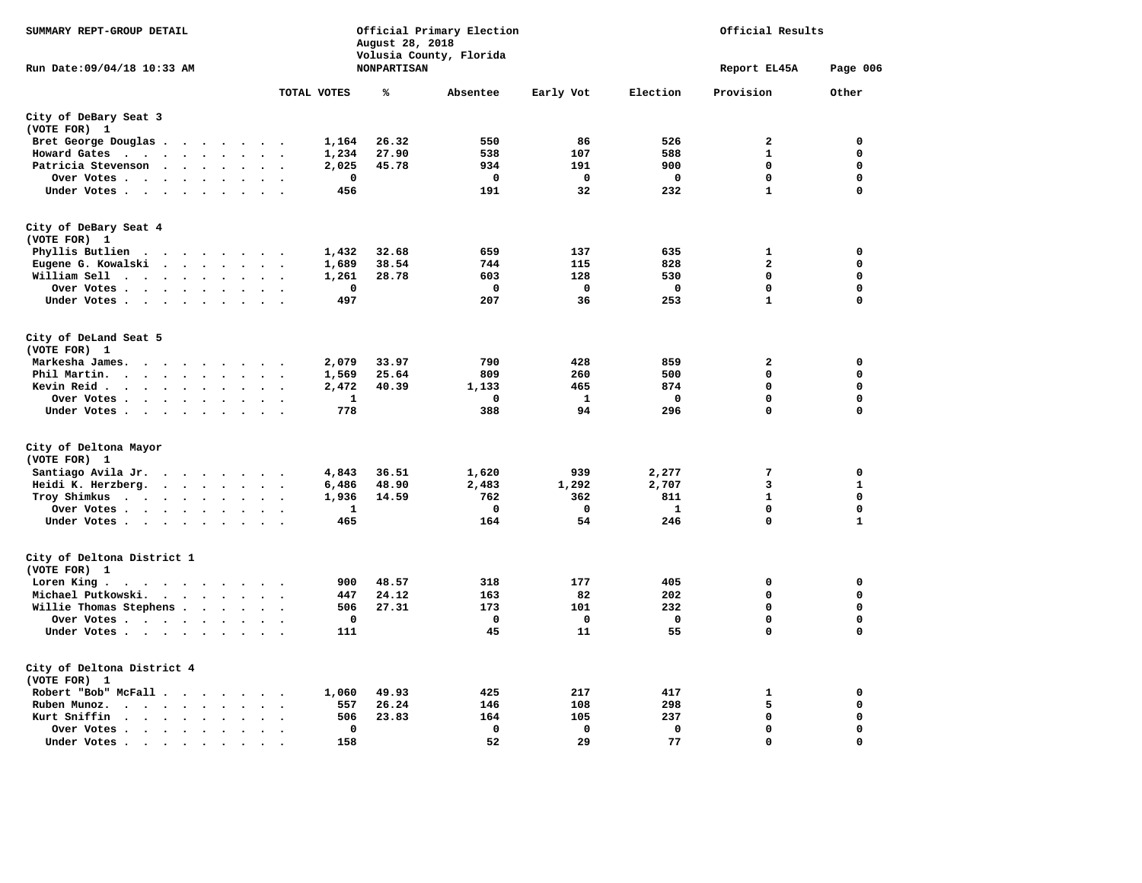| SUMMARY REPT-GROUP DETAIL                                                                                                                                                                                                                                            |                                                     | August 28, 2018    | Official Primary Election<br>Volusia County, Florida |             | Official Results |                         |              |  |
|----------------------------------------------------------------------------------------------------------------------------------------------------------------------------------------------------------------------------------------------------------------------|-----------------------------------------------------|--------------------|------------------------------------------------------|-------------|------------------|-------------------------|--------------|--|
| Run Date:09/04/18 10:33 AM                                                                                                                                                                                                                                           |                                                     | <b>NONPARTISAN</b> |                                                      |             |                  | Report EL45A            | Page 006     |  |
|                                                                                                                                                                                                                                                                      | TOTAL VOTES                                         | ℁                  | Absentee                                             | Early Vot   | Election         | Provision               | Other        |  |
| City of DeBary Seat 3<br>(VOTE FOR) 1                                                                                                                                                                                                                                |                                                     |                    |                                                      |             |                  |                         |              |  |
| Bret George Douglas                                                                                                                                                                                                                                                  | 1,164                                               | 26.32              | 550                                                  | 86          | 526              | $\mathbf{2}$            | 0            |  |
| Howard Gates<br>$\cdots$                                                                                                                                                                                                                                             | 1,234                                               | 27.90              | 538                                                  | 107         | 588              | $\mathbf 1$             | $\mathbf{0}$ |  |
| Patricia Stevenson                                                                                                                                                                                                                                                   | 2,025                                               | 45.78              | 934                                                  | 191         | 900              | $\mathbf 0$             | 0            |  |
| Over Votes                                                                                                                                                                                                                                                           | 0<br>$\cdot$ $\cdot$                                |                    | 0                                                    | 0           | 0                | $\mathbf 0$             | $\mathbf 0$  |  |
| Under Votes                                                                                                                                                                                                                                                          | 456                                                 |                    | 191                                                  | 32          | 232              | $\mathbf{1}$            | $\mathbf 0$  |  |
| City of DeBary Seat 4                                                                                                                                                                                                                                                |                                                     |                    |                                                      |             |                  |                         |              |  |
| (VOTE FOR) 1                                                                                                                                                                                                                                                         |                                                     |                    |                                                      |             |                  |                         |              |  |
| Phyllis Butlien                                                                                                                                                                                                                                                      | 1,432                                               | 32.68              | 659                                                  | 137         | 635              | $\mathbf{1}$            | 0            |  |
| Eugene G. Kowalski                                                                                                                                                                                                                                                   | 1,689                                               | 38.54              | 744                                                  | 115         | 828              | $\overline{\mathbf{2}}$ | $\mathbf 0$  |  |
| William Sell                                                                                                                                                                                                                                                         | 1,261                                               | 28.78              | 603                                                  | 128         | 530              | $\mathbf 0$             | $\mathbf 0$  |  |
| Over Votes<br>$\ddot{\phantom{a}}$                                                                                                                                                                                                                                   | 0<br>$\sim$                                         |                    | 0                                                    | 0           | 0                | 0                       | $\mathbf 0$  |  |
| Under Votes                                                                                                                                                                                                                                                          | 497                                                 |                    | 207                                                  | 36          | 253              | $\mathbf{1}$            | 0            |  |
|                                                                                                                                                                                                                                                                      |                                                     |                    |                                                      |             |                  |                         |              |  |
| City of DeLand Seat 5<br>(VOTE FOR) 1                                                                                                                                                                                                                                |                                                     |                    |                                                      |             |                  |                         |              |  |
| Markesha James.<br>$\cdots$                                                                                                                                                                                                                                          | 2,079<br>$\overline{\phantom{a}}$                   | 33.97              | 790                                                  | 428         | 859              | $\overline{\mathbf{2}}$ | 0            |  |
| Phil Martin.<br>$\mathbf{r}$ . The set of the set of the set of the set of the set of the set of the set of the set of the set of the set of the set of the set of the set of the set of the set of the set of the set of the set of the set of t                    | 1,569<br>$\sim$                                     | 25.64              | 809                                                  | 260         | 500              | $\mathbf 0$             | $\mathbf{0}$ |  |
| Kevin Reid.<br>$\bullet$<br>$\bullet$                                                                                                                                                                                                                                | 2,472<br>$\cdot$                                    | 40.39              | 1,133                                                | 465         | 874              | $\mathbf 0$             | $\mathbf 0$  |  |
| Over Votes                                                                                                                                                                                                                                                           | 1<br>$\sim$                                         |                    | $\Omega$                                             | 1           | 0                | $\mathbf 0$             | $\mathbf 0$  |  |
| Under Votes                                                                                                                                                                                                                                                          | 778                                                 |                    | 388                                                  | 94          | 296              | $\mathbf 0$             | $\mathbf 0$  |  |
|                                                                                                                                                                                                                                                                      |                                                     |                    |                                                      |             |                  |                         |              |  |
| City of Deltona Mayor<br>(VOTE FOR) 1                                                                                                                                                                                                                                |                                                     |                    |                                                      |             |                  |                         |              |  |
| Santiago Avila Jr.                                                                                                                                                                                                                                                   | 4,843<br>$\sim$                                     | 36.51              | 1,620                                                | 939         | 2,277            | 7                       | 0            |  |
| Heidi K. Herzberg.                                                                                                                                                                                                                                                   | 6,486                                               | 48.90              | 2,483                                                | 1,292       | 2,707            | 3                       | $\mathbf{1}$ |  |
| Troy Shimkus                                                                                                                                                                                                                                                         | 1,936<br>$\sim$ $\sim$                              | 14.59              | 762                                                  | 362         | 811              | $\mathbf{1}$            | $\mathbf 0$  |  |
| Over Votes                                                                                                                                                                                                                                                           | 1                                                   |                    | 0                                                    | $\mathbf 0$ | 1                | 0                       | $\mathbf 0$  |  |
| Under Votes                                                                                                                                                                                                                                                          | 465                                                 |                    | 164                                                  | 54          | 246              | $\mathbf 0$             | $\mathbf{1}$ |  |
| City of Deltona District 1                                                                                                                                                                                                                                           |                                                     |                    |                                                      |             |                  |                         |              |  |
| (VOTE FOR) 1                                                                                                                                                                                                                                                         |                                                     |                    |                                                      |             |                  |                         |              |  |
| Loren King.<br>$\begin{array}{cccccccccccccccccc} . & . & . & . & . & . & . & . & . & . \end{array}$                                                                                                                                                                 | 900                                                 | 48.57              | 318                                                  | 177         | 405              | 0                       | $\mathbf 0$  |  |
| Michael Putkowski.                                                                                                                                                                                                                                                   | 447                                                 | 24.12              | 163                                                  | 82          | 202              | $\mathbf 0$             | $\mathbf 0$  |  |
| Willie Thomas Stephens                                                                                                                                                                                                                                               | 506                                                 | 27.31              | 173                                                  | 101         | 232              | 0                       | 0            |  |
| Over Votes                                                                                                                                                                                                                                                           | $\mathbf 0$                                         |                    | 0                                                    | $\mathbf 0$ | $\mathbf 0$      | $\mathbf 0$             | $\mathbf 0$  |  |
| Under Votes                                                                                                                                                                                                                                                          | 111                                                 |                    | 45                                                   | 11          | 55               | $\mathbf 0$             | 0            |  |
| City of Deltona District 4<br>(VOTE FOR) 1                                                                                                                                                                                                                           |                                                     |                    |                                                      |             |                  |                         |              |  |
| Robert "Bob" McFall                                                                                                                                                                                                                                                  | 1,060<br>$\sim$                                     | 49.93              | 425                                                  | 217         | 417              | 1                       | 0            |  |
| Ruben Munoz.<br>$\cdots$<br>$\ddot{\phantom{a}}$                                                                                                                                                                                                                     | 557<br>$\ddot{\phantom{a}}$<br>$\ddot{\phantom{0}}$ | 26.24              | 146                                                  | 108         | 298              | 5                       | $\mathbf 0$  |  |
| Kurt Sniffin<br><b><i>Charles Committee Committee Committee Committee Committee Committee Committee Committee Committee Committee Committee Committee Committee Committee Committee Committee Committee Committee Committee Committee Committee Co</i></b><br>$\sim$ | 506<br>$\sim$                                       | 23.83              | 164                                                  | 105         | 237              | $\mathbf 0$             | $\mathbf 0$  |  |
| Over Votes<br>$\bullet$                                                                                                                                                                                                                                              | $\mathbf 0$<br>$\bullet$                            |                    | $\Omega$                                             | $\mathbf 0$ | $\mathbf 0$      | 0                       | $\mathbf{0}$ |  |
| Under Votes<br>$\sim$                                                                                                                                                                                                                                                | 158                                                 |                    | 52                                                   | 29          | 77               | $\mathbf 0$             | $\mathbf 0$  |  |
|                                                                                                                                                                                                                                                                      |                                                     |                    |                                                      |             |                  |                         |              |  |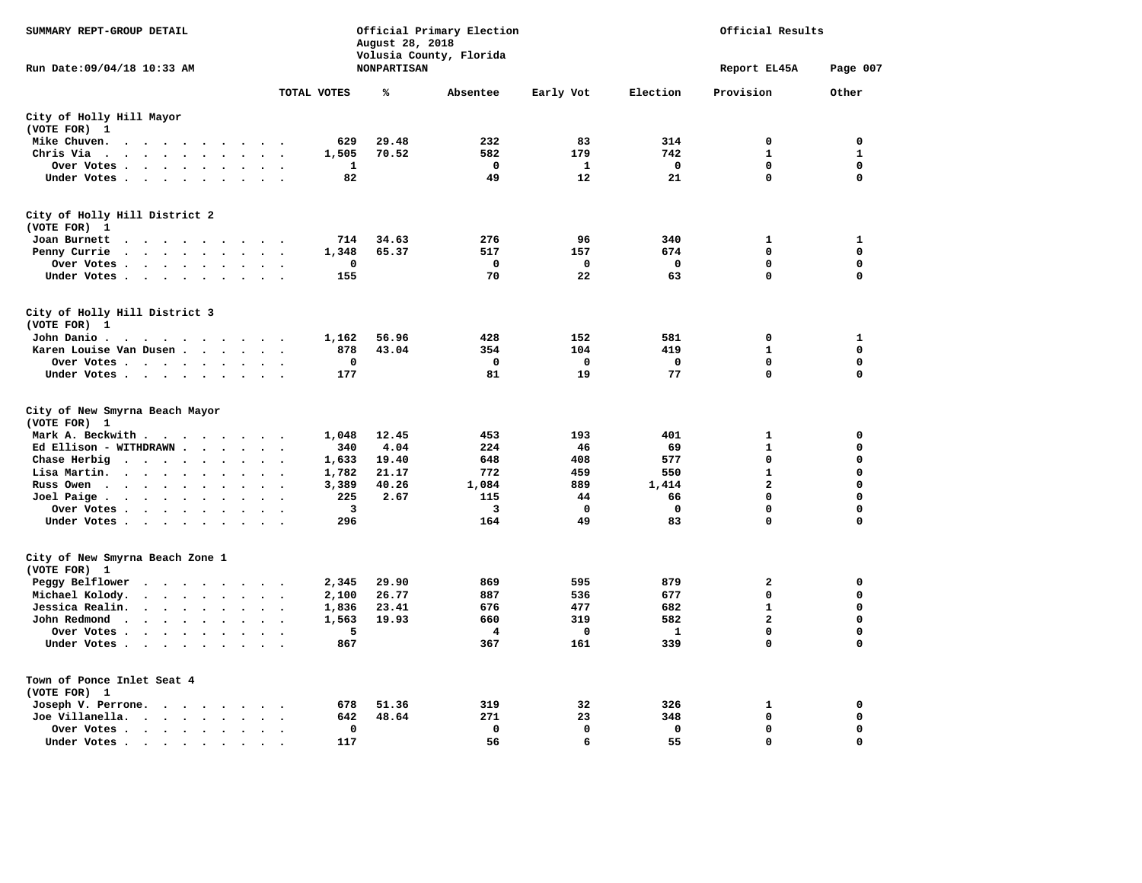| SUMMARY REPT-GROUP DETAIL                                                                                                                             |                                              | August 28, 2018    | Official Primary Election<br>Volusia County, Florida | Official Results |              |                |              |
|-------------------------------------------------------------------------------------------------------------------------------------------------------|----------------------------------------------|--------------------|------------------------------------------------------|------------------|--------------|----------------|--------------|
| Run Date: 09/04/18 10:33 AM                                                                                                                           |                                              | <b>NONPARTISAN</b> |                                                      |                  |              | Report EL45A   | Page 007     |
|                                                                                                                                                       | TOTAL VOTES                                  | ℁                  | Absentee                                             | Early Vot        | Election     | Provision      | Other        |
| City of Holly Hill Mayor<br>(VOTE FOR) 1                                                                                                              |                                              |                    |                                                      |                  |              |                |              |
| Mike Chuven.<br>$\sim$ $\sim$ $\sim$ $\sim$<br>$\sim$ $\sim$<br>$\sim$                                                                                | $\sim$                                       | 629<br>29.48       | 232                                                  | 83               | 314          | 0              | 0            |
| Chris Via<br>$\ddot{\phantom{a}}$<br>$\cdot$ $\cdot$ $\cdot$ $\cdot$<br>$\sim$ $\sim$<br>$\ddot{\phantom{0}}$                                         | $\ddotsc$                                    | 1,505<br>70.52     | 582                                                  | 179              | 742          | $\mathbf{1}$   | $\mathbf{1}$ |
| Over Votes<br>$\ddot{\phantom{a}}$<br>$\ddot{\phantom{1}}$                                                                                            |                                              | 1                  | $\Omega$                                             | 1                | $\mathbf 0$  | $\mathbf 0$    | $\mathbf 0$  |
| Under Votes<br>$\sim$<br>$\cdot$                                                                                                                      |                                              | 82                 | 49                                                   | 12               | 21           | $\mathbf 0$    | $\mathbf 0$  |
| City of Holly Hill District 2<br>(VOTE FOR) 1                                                                                                         |                                              |                    |                                                      |                  |              |                |              |
| Joan Burnett<br>$\cdots$<br>$\sim$<br>$\sim$ $\sim$<br>$\sim$                                                                                         |                                              | 714<br>34.63       | 276                                                  | 96               | 340          | 1              | ${\bf 1}$    |
| Penny Currie<br>$\cdot$ $\cdot$ $\cdot$ $\cdot$<br>$\sim$<br>$\cdot$                                                                                  | $\ddot{\phantom{0}}$                         | 1,348<br>65.37     | 517                                                  | 157              | 674          | $\mathbf 0$    | $\mathbf 0$  |
| Over Votes<br>$\ddot{\phantom{0}}$<br>$\ddot{\phantom{a}}$                                                                                            |                                              | 0                  | 0                                                    | $\mathbf 0$      | $\mathbf 0$  | $\mathbf 0$    | $\mathbf 0$  |
| Under Votes<br>$\overline{\phantom{a}}$                                                                                                               |                                              | 155                | 70                                                   | 22               | 63           | $\mathbf 0$    | $\mathbf 0$  |
| City of Holly Hill District 3<br>(VOTE FOR) 1                                                                                                         |                                              |                    |                                                      |                  |              |                |              |
| John Danio.<br>$\cdots$                                                                                                                               |                                              | 56.96<br>1,162     | 428                                                  | 152              | 581          | $\mathbf 0$    | $\mathbf{1}$ |
| Karen Louise Van Dusen                                                                                                                                |                                              | 878<br>43.04       | 354                                                  | 104              | 419          | 1              | 0            |
| Over Votes                                                                                                                                            |                                              | $\mathbf 0$        | $\Omega$                                             | $\mathbf 0$      | 0            | $\mathbf 0$    | $\mathbf 0$  |
| Under Votes                                                                                                                                           | $\sim$                                       | 177                | 81                                                   | 19               | 77           | $\mathbf 0$    | 0            |
| City of New Smyrna Beach Mayor<br>(VOTE FOR) 1                                                                                                        |                                              |                    |                                                      |                  |              |                |              |
| Mark A. Beckwith                                                                                                                                      |                                              | 1,048<br>12.45     | 453                                                  | 193              | 401          | $\mathbf{1}$   | $\mathbf 0$  |
| Ed Ellison - WITHDRAWN.<br>$\overline{\phantom{a}}$<br>$\ddot{\phantom{a}}$                                                                           |                                              | 340<br>4.04        | 224                                                  | 46               | 69           | $\mathbf{1}$   | $\mathbf 0$  |
| Chase Herbig<br>$\sim$<br>$\ddotsc$<br>$\cdot$<br>$\ddot{\phantom{a}}$                                                                                |                                              | 1,633<br>19.40     | 648                                                  | 408              | 577          | $\mathbf 0$    | $\mathbf 0$  |
| Lisa Martin.<br>$\ddot{\phantom{1}}$<br>$\bullet$<br>$\ddot{\phantom{a}}$<br>$\overline{\phantom{a}}$<br>$\ddot{\phantom{a}}$<br>$\ddot{\phantom{a}}$ | $\ddot{\phantom{a}}$<br>$\ddot{\phantom{0}}$ | 1,782<br>21.17     | 772                                                  | 459              | 550          | $\mathbf{1}$   | $\mathbf 0$  |
| Russ Owen<br>$\ddot{\phantom{a}}$<br>$\cdot$ $\cdot$ $\cdot$ $\cdot$<br>$\overline{\phantom{a}}$<br>$\Delta$                                          |                                              | 3,389<br>40.26     | 1,084                                                | 889              | 1,414        | $\mathbf{2}$   | $\mathbf 0$  |
| Joel Paige.<br>$\ddot{\phantom{a}}$<br>$\ddot{\phantom{0}}$<br>$\ddot{\phantom{1}}$<br>$\cdot$                                                        |                                              | 225<br>2.67        | 115                                                  | 44               | 66           | $\mathbf 0$    | $\mathbf 0$  |
| Over Votes<br>$\bullet$<br>$\ddot{\phantom{a}}$<br>$\ddot{\phantom{a}}$                                                                               |                                              | 3                  | 3                                                    | 0                | 0            | $\mathbf 0$    | 0            |
| Under Votes<br>$\ddot{\phantom{a}}$<br>$\bullet$<br>$\cdot$                                                                                           | $\sim$<br>$\ddot{\phantom{0}}$               | 296                | 164                                                  | 49               | 83           | $\mathbf 0$    | 0            |
| City of New Smyrna Beach Zone 1<br>(VOTE FOR) 1                                                                                                       |                                              |                    |                                                      |                  |              |                |              |
| Peggy Belflower<br>$\ddot{\phantom{0}}$<br>$\sim$<br>$\sim$ $\sim$<br>$\sim$<br>$\sim$<br>$\sim$                                                      |                                              | 29.90<br>2,345     | 869                                                  | 595              | 879          | $\mathbf{2}$   | $\mathbf 0$  |
| Michael Kolody.<br>$\ddot{\phantom{0}}$<br>$\sim$<br>$\bullet$<br>$\bullet$                                                                           |                                              | 2,100<br>26.77     | 887                                                  | 536              | 677          | $\mathbf 0$    | $\Omega$     |
| Jessica Realin.<br>$\sim$ $\sim$ $\sim$<br>$\sim$<br>$\ddot{\phantom{0}}$<br>$\bullet$<br>$\bullet$                                                   |                                              | 23.41<br>1,836     | 676                                                  | 477              | 682          | $\mathbf{1}$   | $\Omega$     |
| John Redmond<br>$\ddot{\phantom{a}}$                                                                                                                  |                                              | 1,563<br>19.93     | 660                                                  | 319              | 582          | $\overline{a}$ | $\mathbf 0$  |
| Over Votes .<br>$\ddot{\phantom{1}}$<br>$\ddot{\phantom{a}}$<br>$\ddot{\phantom{a}}$                                                                  |                                              | 5                  | 4                                                    | 0                | $\mathbf{1}$ | $\mathbf 0$    | $\mathbf 0$  |
| Under Votes<br>$\ddot{\phantom{a}}$<br>$\ddot{\phantom{a}}$                                                                                           |                                              | 867                | 367                                                  | 161              | 339          | $\mathbf 0$    | 0            |
| Town of Ponce Inlet Seat 4<br>(VOTE FOR) 1                                                                                                            |                                              |                    |                                                      |                  |              |                |              |
| Joseph V. Perrone.                                                                                                                                    | $\cdot$                                      | 51.36<br>678       | 319                                                  | 32               | 326          | $\mathbf{1}$   | $\mathbf 0$  |
| Joe Villanella.<br>$\cdots$<br>$\ddot{\phantom{a}}$<br>$\sim$                                                                                         |                                              | 48.64<br>642       | 271                                                  | 23               | 348          | 0              | 0            |
| Over Votes<br>$\bullet$<br>$\bullet$<br>$\bullet$                                                                                                     | $\bullet$                                    | 0                  | $\mathbf 0$                                          | $\Omega$         | $\mathbf 0$  | $\mathbf 0$    | $\mathbf 0$  |
| Under Votes.<br>$\bullet$ $\bullet$ $\bullet$<br>$\bullet$                                                                                            |                                              | 117                | 56                                                   | 6                | 55           | $\Omega$       | $\Omega$     |